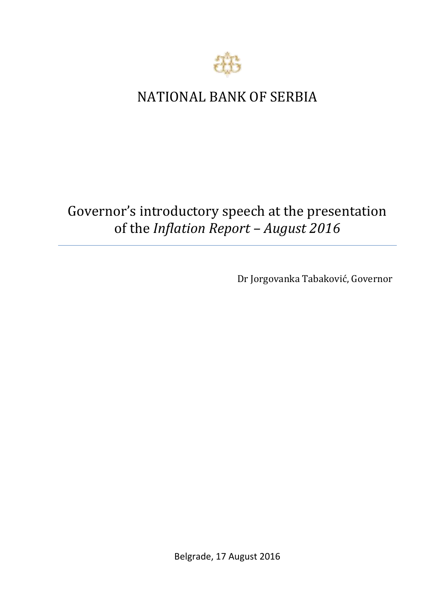

## NATIONAL BANK OF SERBIA

## Governor's introductory speech at the presentation of the *Inflation Report – August 2016*

Dr Jorgovanka Tabaković, Governor

Belgrade, 17 August 2016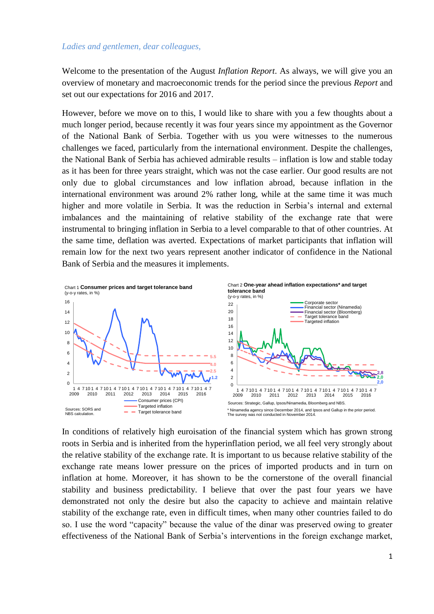## *Ladies and gentlemen, dear colleagues,*

Welcome to the presentation of the August *Inflation Report*. As always, we will give you an overview of monetary and macroeconomic trends for the period since the previous *Report* and set out our expectations for 2016 and 2017.

However, before we move on to this, I would like to share with you a few thoughts about a much longer period, because recently it was four years since my appointment as the Governor of the National Bank of Serbia. Together with us you were witnesses to the numerous challenges we faced, particularly from the international environment. Despite the challenges, the National Bank of Serbia has achieved admirable results – inflation is low and stable today as it has been for three years straight, which was not the case earlier. Our good results are not only due to global circumstances and low inflation abroad, because inflation in the international environment was around 2% rather long, while at the same time it was much higher and more volatile in Serbia. It was the reduction in Serbia's internal and external imbalances and the maintaining of relative stability of the exchange rate that were instrumental to bringing inflation in Serbia to a level comparable to that of other countries. At the same time, deflation was averted. Expectations of market participants that inflation will remain low for the next two years represent another indicator of confidence in the National Bank of Serbia and the measures it implements.



In conditions of relatively high euroisation of the financial system which has grown strong roots in Serbia and is inherited from the hyperinflation period, we all feel very strongly about the relative stability of the exchange rate. It is important to us because relative stability of the exchange rate means lower pressure on the prices of imported products and in turn on inflation at home. Moreover, it has shown to be the cornerstone of the overall financial stability and business predictability. I believe that over the past four years we have demonstrated not only the desire but also the capacity to achieve and maintain relative stability of the exchange rate, even in difficult times, when many other countries failed to do so. I use the word "capacity" because the value of the dinar was preserved owing to greater effectiveness of the National Bank of Serbia's interventions in the foreign exchange market,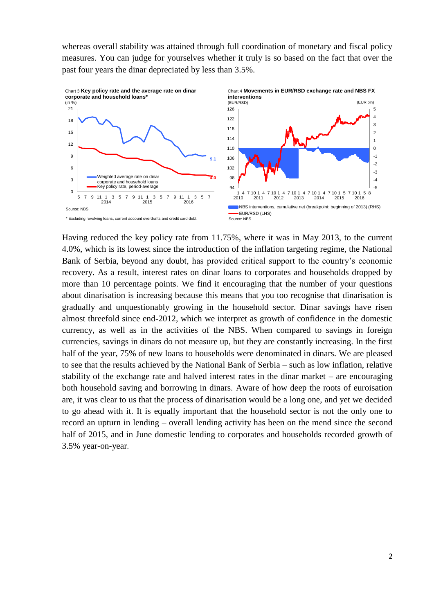whereas overall stability was attained through full coordination of monetary and fiscal policy measures. You can judge for yourselves whether it truly is so based on the fact that over the past four years the dinar depreciated by less than 3.5%.



Having reduced the key policy rate from 11.75%, where it was in May 2013, to the current 4.0%, which is its lowest since the introduction of the inflation targeting regime, the National Bank of Serbia, beyond any doubt, has provided critical support to the country's economic recovery. As a result, interest rates on dinar loans to corporates and households dropped by more than 10 percentage points. We find it encouraging that the number of your questions about dinarisation is increasing because this means that you too recognise that dinarisation is gradually and unquestionably growing in the household sector. Dinar savings have risen almost threefold since end-2012, which we interpret as growth of confidence in the domestic currency, as well as in the activities of the NBS. When compared to savings in foreign currencies, savings in dinars do not measure up, but they are constantly increasing. In the first half of the year, 75% of new loans to households were denominated in dinars. We are pleased to see that the results achieved by the National Bank of Serbia – such as low inflation, relative stability of the exchange rate and halved interest rates in the dinar market – are encouraging both household saving and borrowing in dinars. Aware of how deep the roots of euroisation are, it was clear to us that the process of dinarisation would be a long one, and yet we decided to go ahead with it. It is equally important that the household sector is not the only one to record an upturn in lending – overall lending activity has been on the mend since the second half of 2015, and in June domestic lending to corporates and households recorded growth of 3.5% year-on-year.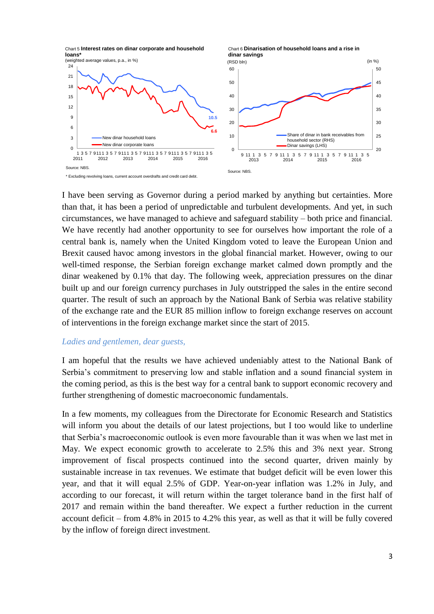

I have been serving as Governor during a period marked by anything but certainties. More than that, it has been a period of unpredictable and turbulent developments. And yet, in such circumstances, we have managed to achieve and safeguard stability – both price and financial. We have recently had another opportunity to see for ourselves how important the role of a central bank is, namely when the United Kingdom voted to leave the European Union and Brexit caused havoc among investors in the global financial market. However, owing to our well-timed response, the Serbian foreign exchange market calmed down promptly and the dinar weakened by 0.1% that day. The following week, appreciation pressures on the dinar built up and our foreign currency purchases in July outstripped the sales in the entire second quarter. The result of such an approach by the National Bank of Serbia was relative stability of the exchange rate and the EUR 85 million inflow to foreign exchange reserves on account of interventions in the foreign exchange market since the start of 2015.

## *Ladies and gentlemen, dear guests,*

I am hopeful that the results we have achieved undeniably attest to the National Bank of Serbia's commitment to preserving low and stable inflation and a sound financial system in the coming period, as this is the best way for a central bank to support economic recovery and further strengthening of domestic macroeconomic fundamentals.

In a few moments, my colleagues from the Directorate for Economic Research and Statistics will inform you about the details of our latest projections, but I too would like to underline that Serbia's macroeconomic outlook is even more favourable than it was when we last met in May. We expect economic growth to accelerate to 2.5% this and 3% next year. Strong improvement of fiscal prospects continued into the second quarter, driven mainly by sustainable increase in tax revenues. We estimate that budget deficit will be even lower this year, and that it will equal 2.5% of GDP. Year-on-year inflation was 1.2% in July, and according to our forecast, it will return within the target tolerance band in the first half of 2017 and remain within the band thereafter. We expect a further reduction in the current account deficit – from 4.8% in 2015 to 4.2% this year, as well as that it will be fully covered by the inflow of foreign direct investment.